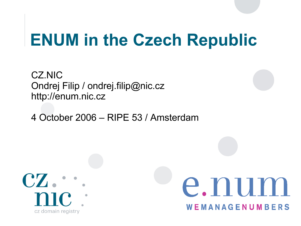#### **ENUM in the Czech Republic**

CZ.NIC Ondrej Filip / [ondrej.filip@nic.cz](mailto:ondrej.filip@nic.cz) http://enum.nic.cz

4 October 2006 – RIPE 53 / Amsterdam



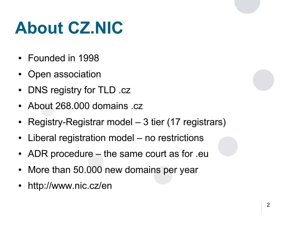## **About CZ.NIC**

- Founded in 1998
- Open association
- DNS registry for TLD .cz
- About 268,000 domains .cz
- Registry-Registrar model 3 tier (17 registrars)
- Liberal registration model  $-$  no restrictions
- ADR procedure  $-$  the same court as for .eu
- More than 50.000 new domains per year
- <http://www.nic.cz/>en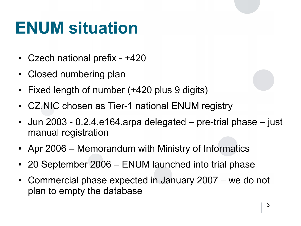### **ENUM situation**

- Czech national prefix  $+420$
- Closed numbering plan
- Fixed length of number (+420 plus 9 digits)
- CZ.NIC chosen as Tier-1 national ENUM registry
- Jun 2003 0.2.4.e164.arpa delegated  $-$  pre-trial phase  $-$  just manual registration
- Apr 2006 Memorandum with Ministry of Informatics
- 20 September 2006 ENUM launched into trial phase
- Commercial phase expected in January 2007 we do not plan to empty the database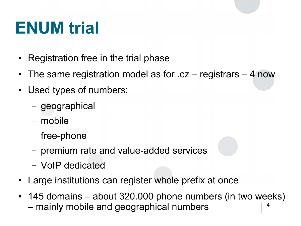## **ENUM trial**

- Registration free in the trial phase
- The same registration model as for  $cc$  registrars  $-4$  now
- Used types of numbers:
	- geographical
	- mobile
	- free-phone
	- premium rate and value-added services
	- VoIP dedicated
- Large institutions can register whole prefix at once
- 4 • 145 domains – about 320.000 phone numbers (in two weeks) – mainly mobile and geographical numbers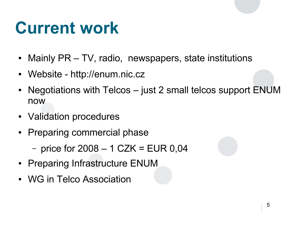### **Current work**

- Mainly PR TV, radio, newspapers, state institutions
- Website http://enum.nic.cz
- Negotiations with Telcos  $-$  just 2 small telcos support ENUM now
- Validation procedures
- Preparing commercial phase
	- price for  $2008 1$  CZK = EUR 0,04
- Preparing Infrastructure ENUM
- WG in Telco Association